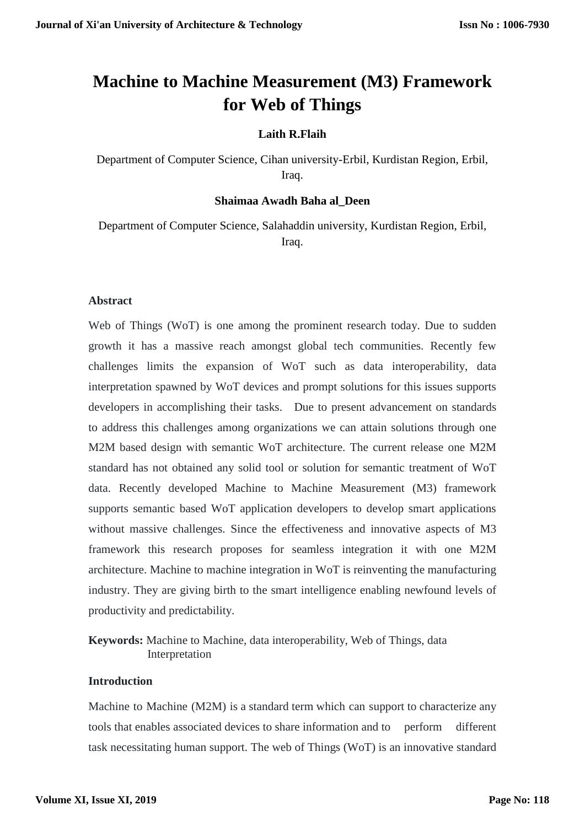# **Machine to Machine Measurement (M3) Framework for Web of Things**

## **Laith R.Flaih**

Department of Computer Science, Cihan university-Erbil, Kurdistan Region, Erbil, Iraq.

#### **Shaimaa Awadh Baha al\_Deen**

Department of Computer Science, Salahaddin university, Kurdistan Region, Erbil, Iraq.

#### **Abstract**

Web of Things (WoT) is one among the prominent research today. Due to sudden growth it has a massive reach amongst global tech communities. Recently few challenges limits the expansion of WoT such as data interoperability, data interpretation spawned by WoT devices and prompt solutions for this issues supports developers in accomplishing their tasks. Due to present advancement on standards to address this challenges among organizations we can attain solutions through one M2M based design with semantic WoT architecture. The current release one M2M standard has not obtained any solid tool or solution for semantic treatment of WoT data. Recently developed Machine to Machine Measurement (M3) framework supports semantic based WoT application developers to develop smart applications without massive challenges. Since the effectiveness and innovative aspects of M3 framework this research proposes for seamless integration it with one M2M architecture. Machine to machine integration in WoT is reinventing the manufacturing industry. They are giving birth to the smart intelligence enabling newfound levels of productivity and predictability.

**Keywords:** Machine to Machine, data interoperability, Web of Things, data Interpretation

## **Introduction**

Machine to Machine (M2M) is a standard term which can support to characterize any tools that enables associated devices to share information and to perform different task necessitating human support. The web of Things (WoT) is an innovative standard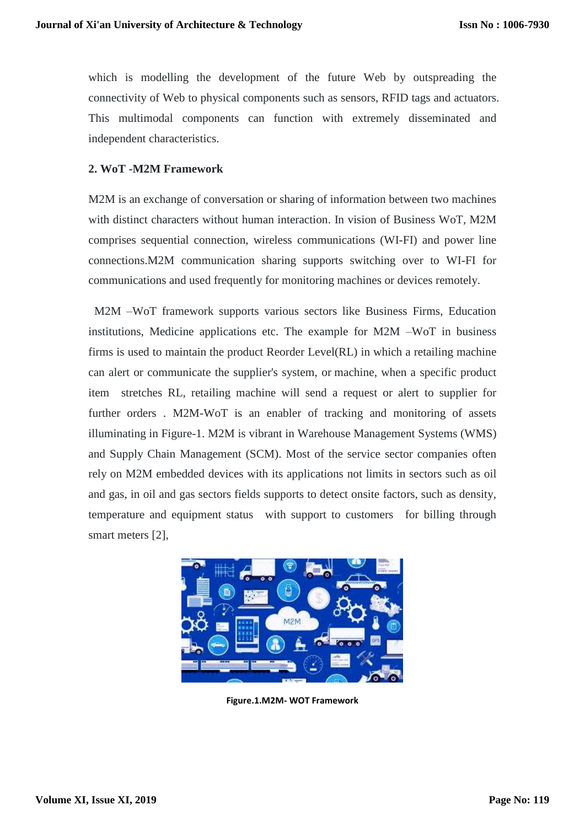which is modelling the development of the future Web by outspreading the connectivity of Web to physical components such as sensors, RFID tags and actuators. This multimodal components can function with extremely disseminated and independent characteristics.

## **2. WoT -M2M Framework**

M2M is an exchange of conversation or sharing of information between two machines with distinct characters without human interaction. In vision of Business WoT, M2M comprises sequential connection, wireless communications (WI-FI) and power line connections.M2M communication sharing supports switching over to WI-FI for communications and used frequently for monitoring machines or devices remotely.

M2M –WoT framework supports various sectors like Business Firms, Education institutions, Medicine applications etc. The example for M2M –WoT in business firms is used to maintain the product Reorder Level(RL) in which a retailing machine can alert or communicate the supplier's system, or machine, when a specific product item stretches RL, retailing machine will send a request or alert to supplier for further orders . M2M-WoT is an enabler of tracking and monitoring of assets illuminating in Figure-1. M2M is vibrant in Warehouse Management Systems [\(WMS\)](https://searcherp.techtarget.com/definition/warehouse-management-system-WMS) and Supply Chain Management [\(SCM\)](https://searcherp.techtarget.com/definition/supply-chain-management-SCM). Most of the service sector companies often rely on M2M embedded devices with its applications not limits in sectors such as oil and gas, in oil and gas sectors fields supports to detect onsite factors, such as density, temperature and equipment status with support to customers for billing through smart meters [2],



**Figure.1.M2M- WOT Framework**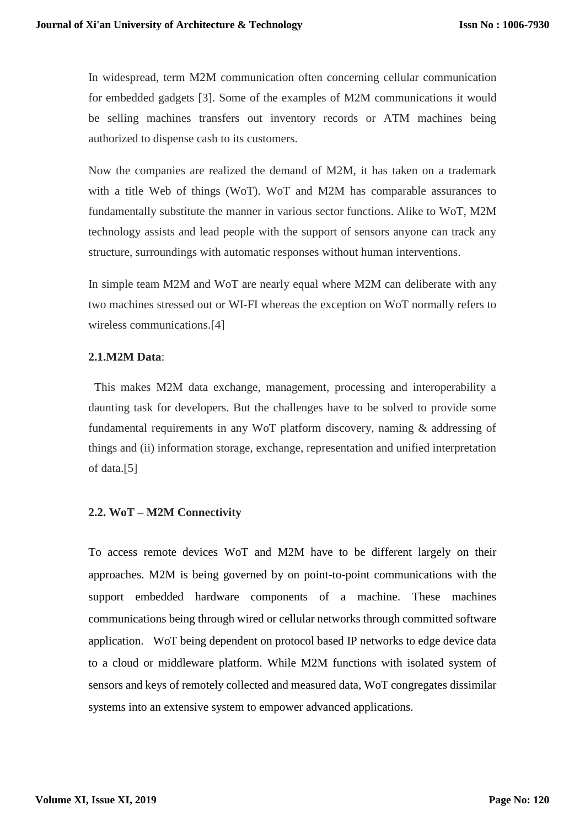In widespread, term M2M communication often concerning cellular communication for embedded gadgets [3]. Some of the examples of M2M communications it would be selling machines transfers out inventory records or ATM machines being authorized to dispense cash to its customers.

Now the companies are realized the demand of M2M, it has taken on a trademark with a title Web of things (WoT). WoT and M2M has comparable assurances to fundamentally substitute the manner in various sector functions. Alike to WoT, M2M technology assists and lead people with the support of sensors anyone can track any structure, surroundings with automatic responses without human interventions.

In simple team M2M and WoT are nearly equal where M2M can deliberate with any two machines stressed out or WI-FI whereas the exception on WoT normally refers to wireless communications.[4]

#### **2.1.M2M Data**:

This makes M2M data exchange, management, processing and interoperability a daunting task for developers. But the challenges have to be solved to provide some fundamental requirements in any WoT platform discovery, naming & addressing of things and (ii) information storage, exchange, representation and unified interpretation of data.[5]

## **2.2. WoT – M2M Connectivity**

To access remote devices WoT and M2M have to be different largely on their approaches. M2M is being governed by on point-to-point communications with the support embedded hardware components of a machine. These machines communications being through wired or cellular networks through committed software application. WoT being dependent on protocol based IP networks to edge device data to a cloud or middleware platform. While M2M functions with isolated system of sensors and keys of remotely collected and measured data, WoT congregates dissimilar systems into an extensive system to empower advanced applications.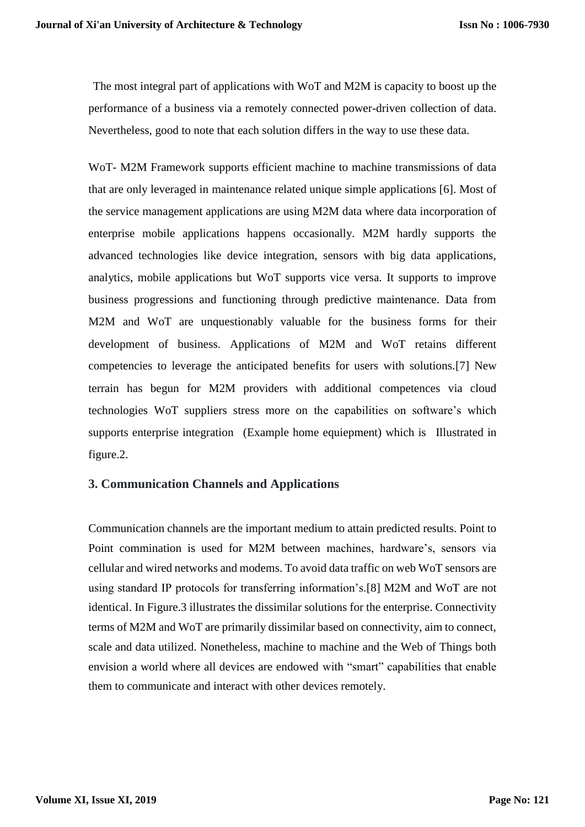The most integral part of applications with WoT and M2M is capacity to boost up the performance of a business via a remotely connected power-driven collection of data. Nevertheless, good to note that each solution differs in the way to use these data.

WoT- M2M Framework supports efficient machine to machine transmissions of data that are only leveraged in maintenance related unique simple applications [6]. Most of the service management applications are using M2M data where data incorporation of [enterprise mobile applications](https://www.peerbits.com/enterprise-mobility-solutions.html) happens occasionally. M2M hardly supports the advanced technologies like device integration, sensors with big data applications, analytics, mobile applications but WoT supports vice versa. It supports to improve business progressions and functioning through predictive maintenance. Data from M2M and WoT are unquestionably valuable for the business forms for their development of business. Applications of M2M and WoT retains different competencies to leverage the anticipated benefits for users with solutions.[7] New terrain has begun for M2M providers with additional competences via cloud technologies WoT suppliers stress more on the capabilities on software's which supports enterprise integration (Example home equiepment) which is Illustrated in figure.2.

## **3. Communication Channels and Applications**

Communication channels are the important medium to attain predicted results. Point to Point commination is used for M2M between machines, hardware's, sensors via cellular and wired networks and modems. To avoid data traffic on web WoT sensors are using standard IP protocols for transferring information's.[8] M2M and WoT are not identical. In Figure.3 illustrates the dissimilar solutions for the enterprise. Connectivity terms of M2M and WoT are primarily dissimilar based on connectivity, aim to connect, scale and data utilized. Nonetheless, machine to machine and the Web of Things both envision a world where all devices are endowed with "smart" capabilities that enable them to communicate and interact with other devices remotely.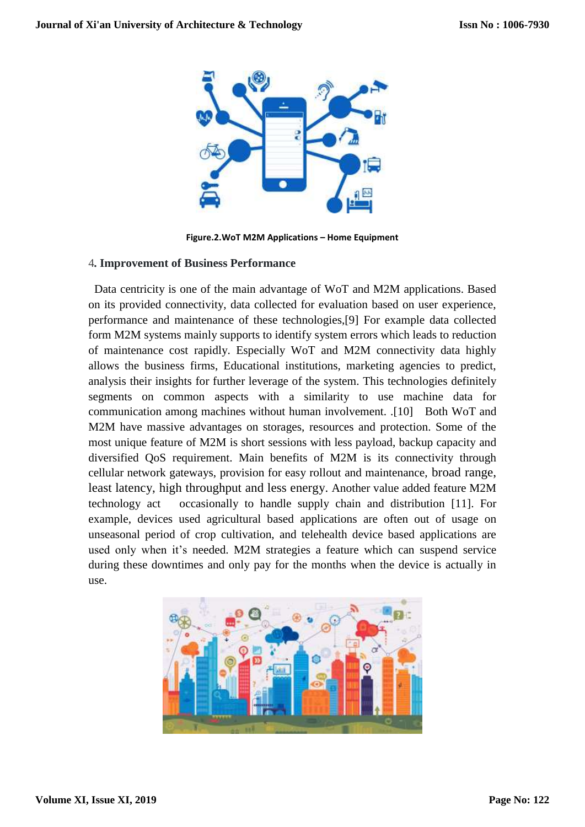

**Figure.2.WoT M2M Applications – Home Equipment**

#### 4**. Improvement of Business Performance**

Data centricity is one of the main advantage of WoT and M2M applications. Based on its provided connectivity, data collected for evaluation based on user experience, performance and maintenance of these technologies,[9] For example data collected form M2M systems mainly supports to identify system errors which leads to reduction of maintenance cost rapidly. Especially WoT and M2M connectivity data highly allows the business firms, Educational institutions, marketing agencies to predict, analysis their insights for further leverage of the system. This technologies definitely segments on common aspects with a similarity to use machine data for communication among machines without human involvement. .[10] Both WoT and M2M have massive advantages on storages, resources and protection. Some of the most unique feature of M2M is short sessions with less payload, backup capacity and diversified QoS requirement. Main benefits of M2M is its connectivity through cellular network gateways, provision for easy rollout and maintenance, broad range, least latency, high throughput and less energy. Another value added feature M2M technology act occasionally to handle supply chain and distribution [11]. For example, devices used agricultural based applications are often out of usage on unseasonal period of crop cultivation, and telehealth device based applications are used only when it's needed. M2M strategies a feature which can suspend service during these downtimes and only pay for the months when the device is actually in use.

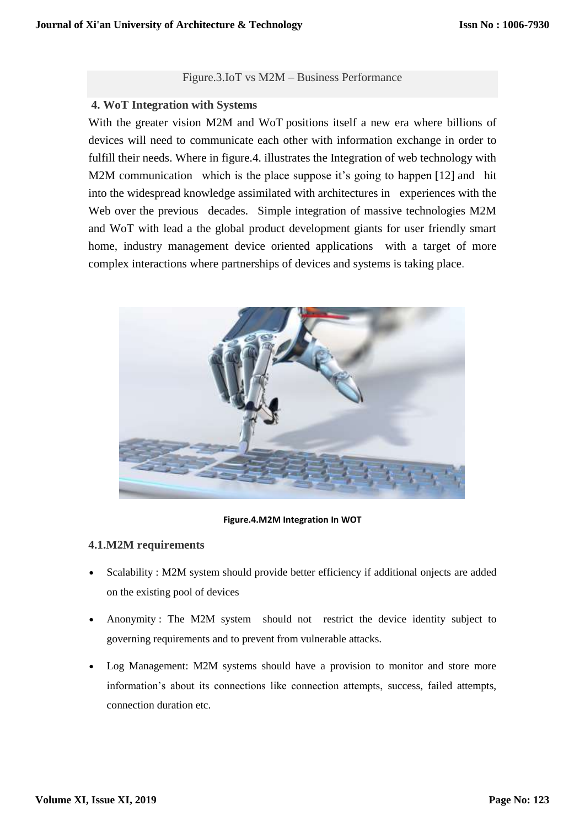#### Figure.3.IoT vs M2M – Business Performance

## **4. WoT Integration with Systems**

With the greater vision M2M and [WoT](https://www.sciencedirect.com/topics/engineering/iot) positions itself a new era where billions of devices will need to communicate each other with information exchange in order to fulfill their needs. Where in figure.4. illustrates the Integration of web technology with M2M communication which is the place suppose it's going to happen [12] and hit into the widespread knowledge assimilated with architectures in experiences with the Web over the previous decades. Simple integration of massive technologies M2M and WoT with lead a the global product development giants for user friendly smart home, industry management device oriented applications with a target of more complex interactions where partnerships of devices and systems is taking place.



**Figure.4.M2M Integration In WOT**

## **4.1.M2M requirements**

- Scalability : M2M system should provide better efficiency if additional onjects are added on the existing pool of devices
- Anonymity : The M2M system should not restrict the device identity subject to governing requirements and to prevent from vulnerable attacks.
- Log Management: M2M systems should have a provision to monitor and store more information's about its connections like connection attempts, success, failed attempts, connection duration etc.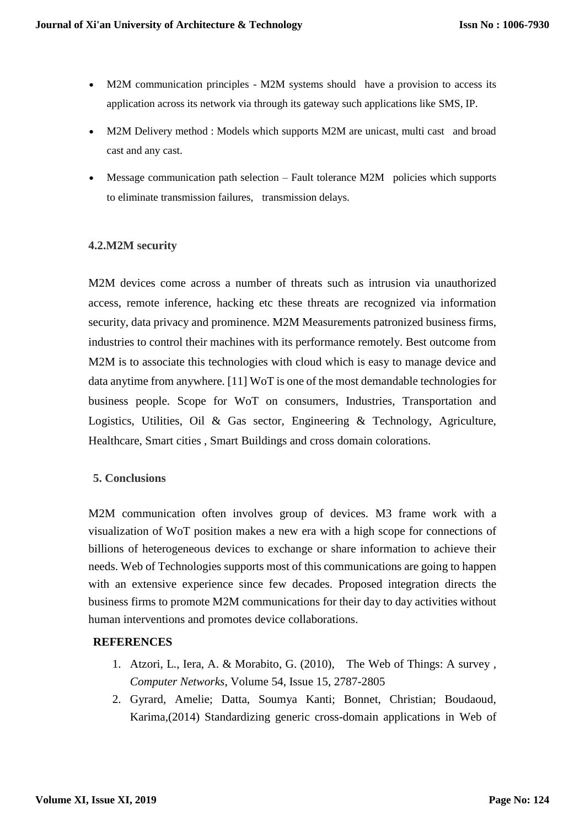- M2M communication principles M2M systems should have a provision to access its application across its network via through its gateway such applications like [SMS](https://searchmobilecomputing.techtarget.com/definition/Short-Message-Service), IP.
- M2M Delivery method : Models which supports M2M are unicast, multi cast and broad cast and any cast.
- Message communication path selection Fault tolerance M2M policies which supports to eliminate transmission failures, transmission delays.

# **4.2.M2M security**

M2M devices come across a number of threats such as intrusion via unauthorized access, remote inference, hacking etc these threats are recognized via information security, data privacy and prominence. M2M Measurements patronized business firms, industries to control their machines with its performance remotely. Best outcome from M2M is to associate this technologies with cloud which is easy to manage device and data anytime from anywhere. [11] WoT is one of the most demandable technologies for business people. Scope for WoT on consumers, Industries, Transportation and Logistics, Utilities, Oil & Gas sector, Engineering & Technology, Agriculture, Healthcare, Smart cities , Smart Buildings and cross domain colorations.

## **5. Conclusions**

M2M communication often involves group of devices. M3 frame work with a visualization of WoT position makes a new era with a high scope for connections of billions of heterogeneous devices to exchange or share information to achieve their needs. Web of Technologies supports most of this communications are going to happen with an extensive experience since few decades. Proposed integration directs the business firms to promote M2M communications for their day to day activities without human interventions and promotes device collaborations.

## **REFERENCES**

- 1. Atzori, L., Iera, A. & Morabito, G. (2010), The Web of Things: A survey , *Computer Networks*, Volume 54, Issue 15, 2787-2805
- 2. Gyrard, Amelie; Datta, Soumya Kanti; Bonnet, Christian; Boudaoud, Karima,(2014) Standardizing generic cross-domain applications in Web of